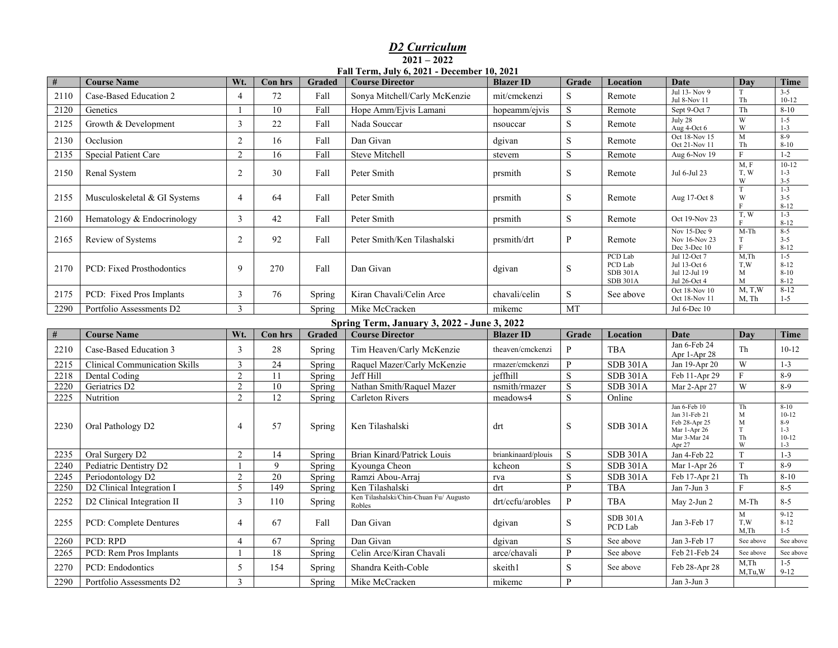## *D2 Curriculum* **2021 – 2022 Fall Term, July 6, 2021 - December 10, 2021**

| #    | <b>Course Name</b>                   | Wt.                     | Con hrs<br>Graded  |                  | <b>Course Director</b>                      | <b>Blazer ID</b>    | Grade        | Location                   | <b>Date</b>                      | Day                | Time                 |
|------|--------------------------------------|-------------------------|--------------------|------------------|---------------------------------------------|---------------------|--------------|----------------------------|----------------------------------|--------------------|----------------------|
| 2110 | Case-Based Education 2               | $\overline{4}$          | 72                 | Fall             | Sonya Mitchell/Carly McKenzie               | mit/cmckenzi        | S            | Remote                     | Jul 13- Nov 9<br>Jul 8-Nov 11    | T<br>Th            | $3 - 5$<br>$10 - 12$ |
| 2120 | Genetics                             |                         | 10                 | Fall             | Hope Amm/Ejvis Lamani                       | hopeamm/ejvis       | S            | Remote                     | Sept 9-Oct 7                     | Th                 | $8 - 10$             |
| 2125 | Growth & Development                 | $\overline{3}$          | 22                 | Fall             | Nada Souccar                                | nsouccar            | $\mathbf S$  | Remote                     | July 28<br>Aug 4-Oct 6           | W<br>W             | $1 - 5$<br>$1 - 3$   |
| 2130 | Occlusion                            | 2                       | 16                 | Fall             | Dan Givan                                   | dgivan              | S            | Remote                     | Oct 18-Nov 15                    | $\mathbf{M}$       | $8-9$                |
| 2135 | Special Patient Care                 | $\overline{2}$          | 16                 | Fall             | <b>Steve Mitchell</b>                       |                     | ${\bf S}$    | Remote                     | Oct 21-Nov 11                    | Th<br>$\mathbf F$  | $8 - 10$<br>$1 - 2$  |
|      |                                      |                         |                    |                  |                                             | stevem              |              |                            | Aug 6-Nov 19                     | M, F               | $10-12$              |
| 2150 | Renal System                         |                         | 30                 | Fall             | Peter Smith                                 | prsmith             | S            | Remote                     | Jul 6-Jul 23                     | T, W<br>W          | $1 - 3$<br>$3 - 5$   |
|      |                                      | $\overline{4}$          |                    |                  |                                             |                     |              |                            |                                  | T                  | $1-3$                |
|      | 2155<br>Musculoskeletal & GI Systems |                         | 64                 | Fall             | Peter Smith                                 | prsmith             | S            | Remote                     | Aug 17-Oct 8                     | W<br>$\mathbf{F}$  | $3 - 5$<br>$8 - 12$  |
| 2160 | Hematology & Endocrinology           | $\overline{\mathbf{3}}$ | 42                 | Fall             | Peter Smith                                 | prsmith             | $\mathbf S$  | Remote                     | Oct 19-Nov 23                    | T, W               | $1 - 3$              |
|      |                                      |                         |                    |                  |                                             |                     |              |                            | Nov 15-Dec 9                     | $M-Th$             | $8 - 12$<br>$8 - 5$  |
| 2165 | Review of Systems                    |                         | 92                 | Fall             | Peter Smith/Ken Tilashalski                 | prsmith/drt         | $\mathbf{P}$ | Remote                     | Nov 16-Nov 23                    | T<br>$\mathbf F$   | $3 - 5$<br>$8 - 12$  |
|      |                                      | 9                       | 270                |                  |                                             |                     |              | PCD Lab                    | Dec 3-Dec 10<br>Jul 12-Oct 7     | $M$ , Th           | $1-5$                |
| 2170 | PCD: Fixed Prosthodontics            |                         |                    | Fall             | Dan Givan                                   | dgivan              | S            | PCD Lab<br><b>SDB 301A</b> | Jul 13-Oct 6<br>Jul 12-Jul 19    | T,W<br>$\mathbf M$ | $8 - 12$<br>$8 - 10$ |
|      |                                      |                         |                    |                  |                                             |                     |              | <b>SDB 301A</b>            | Jul 26-Oct 4                     | M                  | $8 - 12$             |
| 2175 | PCD: Fixed Pros Implants             | $\mathfrak{Z}$          | 76                 | Spring           | Kiran Chavali/Celin Arce                    | chavali/celin       | S            | See above                  | Oct 18-Nov 10<br>Oct 18-Nov 11   | M, T, W<br>M, Th   | $8 - 12$<br>$1 - 5$  |
| 2290 | Portfolio Assessments D2             | 3                       |                    | Spring           | Mike McCracken                              | mikemc              | MT           |                            | Jul 6-Dec 10                     |                    |                      |
|      |                                      |                         |                    |                  | Spring Term, January 3, 2022 - June 3, 2022 |                     |              |                            |                                  |                    |                      |
| #    | <b>Course Name</b>                   | Wt.                     | Con hrs            | Graded           | <b>Blazer ID</b>                            | Grade               | Location     | Date                       | Day                              | Time               |                      |
| 2210 | Case-Based Education 3               | 3                       | 28                 | Spring           | Tim Heaven/Carly McKenzie                   | theaven/cmckenzi    | $\mathbf{P}$ | <b>TBA</b>                 | Jan 6-Feb 24                     | Th                 | $10 - 12$            |
| 2215 | <b>Clinical Communication Skills</b> | 3                       | $\overline{24}$    | Spring           | Raquel Mazer/Carly McKenzie                 | rmazer/cmckenzi     | P            | <b>SDB 301A</b>            | Apr 1-Apr 28<br>Jan 19-Apr 20    | W                  | $1 - 3$              |
| 2218 | Dental Coding                        | $\overline{2}$          | 11                 | Spring           | Jeff Hill                                   | jeffhill            | S            | <b>SDB 301A</b>            | Feb 11-Apr 29                    | F                  | $8-9$                |
| 2220 | Geriatrics D2                        | $\mathfrak{2}$          | 10                 | Spring           | Nathan Smith/Raquel Mazer                   | nsmith/rmazer       | S            | <b>SDB 301A</b>            | Mar 2-Apr 27                     | W                  | $8-9$                |
| 2225 | Nutrition                            | $\overline{2}$          | 12                 | Spring           | Carleton Rivers                             | meadows4            | S            | Online                     |                                  |                    |                      |
|      |                                      |                         |                    |                  |                                             |                     |              |                            | Jan 6-Feb 10                     | Th                 | $8 - 10$             |
|      |                                      | $\overline{4}$          |                    |                  |                                             |                     |              |                            | Jan 31-Feb 21<br>Feb 28-Apr 25   | M<br>$\mathbf M$   | $10-12$<br>$8-9$     |
| 2230 | Oral Pathology D2                    |                         | 57                 | Spring           | Ken Tilashalski                             | drt                 | $\mathbf S$  | <b>SDB 301A</b>            | Mar 1-Apr 26                     | T                  | $1 - 3$              |
|      |                                      |                         |                    |                  |                                             |                     |              |                            | Mar 3-Mar 24                     | Th                 | $10-12$              |
| 2235 | Oral Surgery D2                      | 2                       |                    |                  | Brian Kinard/Patrick Louis                  | briankinaard/plouis | S            | <b>SDB 301A</b>            | W<br>Apr 27<br>T<br>Jan 4-Feb 22 |                    | $1 - 3$<br>$1 - 3$   |
| 2240 | Pediatric Dentistry D2               |                         | 14<br>$\mathbf{Q}$ | Spring<br>Spring | Kyounga Cheon                               | kcheon              | S            | <b>SDB 301A</b>            | Mar 1-Apr 26                     | T                  | $8-9$                |
| 2245 | Periodontology D2                    | $\sqrt{2}$              | $20\,$             | Spring           | Ramzi Abou-Arraj                            | rva                 | $\mathbf S$  | <b>SDB 301A</b>            | Feb 17-Apr 21                    | Th                 | $8 - 10$             |
| 2250 | D2 Clinical Integration I            | 5                       | 149                | Spring           | Ken Tilashalski                             | drt                 | $\mathbf{P}$ | <b>TBA</b>                 | Jan 7-Jun 3                      | F                  | $8 - 5$              |
| 2252 | D2 Clinical Integration II           | $\mathfrak{Z}$          | 110                | Spring           | Ken Tilashalski/Chin-Chuan Fu/ Augusto      | drt/ccfu/arobles    | $\mathbf{P}$ | <b>TBA</b>                 | May 2-Jun 2                      | $M-Th$             | $8 - 5$              |
|      |                                      |                         |                    |                  | Robles                                      |                     |              |                            |                                  | $\mathbf M$        | $9-12$               |
| 2255 | PCD: Complete Dentures               |                         | 67                 | Fall             | Dan Givan                                   | dgivan              | S            | <b>SDB 301A</b><br>PCD Lab | Jan 3-Feb 17                     | T,W                | $8 - 12$             |
| 2260 | PCD: RPD                             | $\overline{4}$          | 67                 | Spring           | Dan Givan                                   | dgivan              | S            | See above                  | Jan 3-Feb 17                     | M,Th<br>See above  | $1 - 5$<br>See above |
|      |                                      |                         |                    |                  |                                             |                     | P            |                            |                                  |                    |                      |
| 2265 | PCD: Rem Pros Implants               | $\mathbf{1}$            | 18                 | Spring           | Celin Arce/Kiran Chavali                    | arce/chavali        |              | See above                  | Feb 21-Feb 24                    | See above<br>M.Th  | See above<br>$1 - 5$ |
| 2270 | PCD: Endodontics                     | 5                       | 154                | Spring           | Shandra Keith-Coble                         | skeith1             | $\mathbf S$  | See above                  | Feb 28-Apr 28                    | $M$ , Tu, W        | $9-12$               |
| 2290 | Portfolio Assessments D2             | $\overline{3}$          |                    | Spring           | Mike McCracken                              | mikemc              | $\mathbf{P}$ |                            | Jan 3-Jun 3                      |                    |                      |